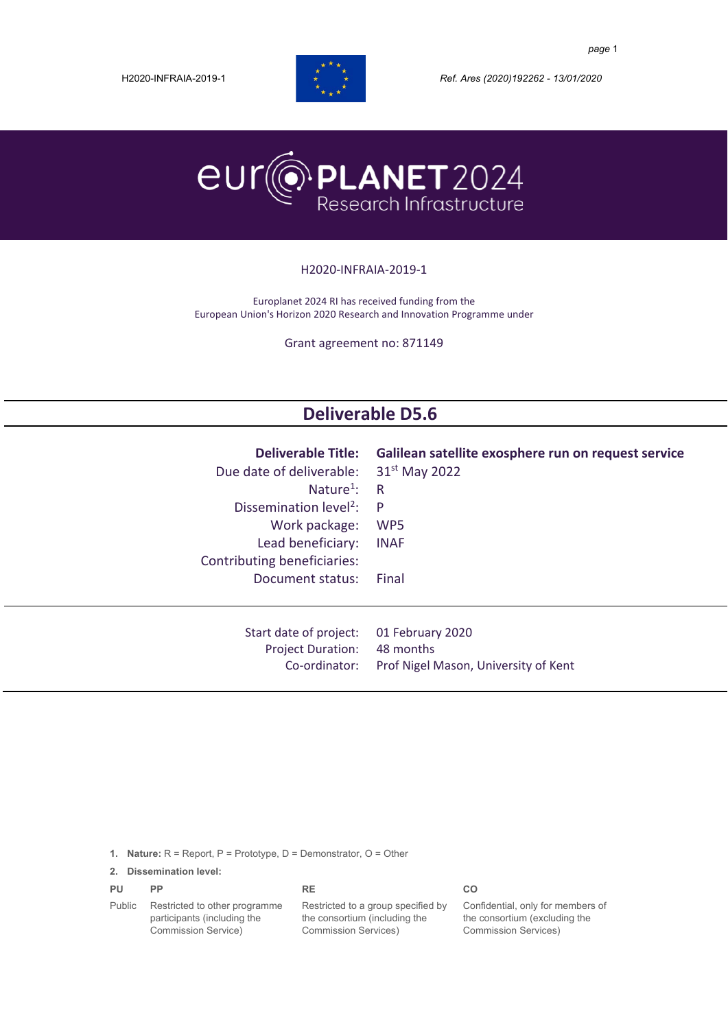

H2020-INFRAIA-2019-1 *Ref. Ares (2020)192262 - 13/01/2020*



#### H2020-INFRAIA-2019-1

Europlanet 2024 RI has received funding from the European Union's Horizon 2020 Research and Innovation Programme under

Grant agreement no: 871149

# **Deliverable D5.6**

| <b>Deliverable Title:</b><br>Due date of deliverable:<br>Nature <sup>1</sup> :<br>Dissemination level <sup>2</sup> :<br>Work package:<br>Lead beneficiary:<br>Contributing beneficiaries:<br>Document status: | Galilean satellite exosphere run on request service<br>31 <sup>st</sup> May 2022<br>R<br>P<br>WP <sub>5</sub><br><b>INAF</b><br>Final |
|---------------------------------------------------------------------------------------------------------------------------------------------------------------------------------------------------------------|---------------------------------------------------------------------------------------------------------------------------------------|
| Start date of project:                                                                                                                                                                                        | 01 February 2020                                                                                                                      |
| <b>Project Duration:</b>                                                                                                                                                                                      | 48 months                                                                                                                             |
| Co-ordinator:                                                                                                                                                                                                 | Prof Nigel Mason, University of Kent                                                                                                  |

**1. Nature:** R = Report, P = Prototype, D = Demonstrator, O = Other

#### **2. Dissemination level:**

| PU     | PP                            | RE.                                | CO                                |
|--------|-------------------------------|------------------------------------|-----------------------------------|
| Public | Restricted to other programme | Restricted to a group specified by | Confidential, only for members of |
|        | participants (including the   | the consortium (including the      | the consortium (excluding the     |
|        | Commission Service)           | <b>Commission Services</b> )       | <b>Commission Services)</b>       |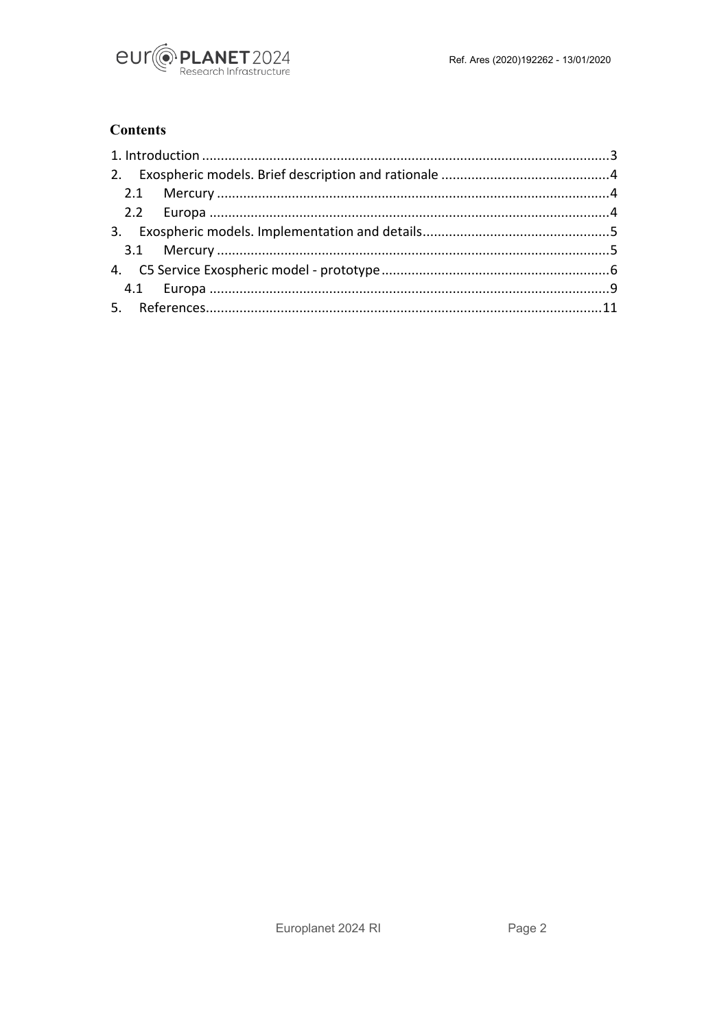

## **Contents**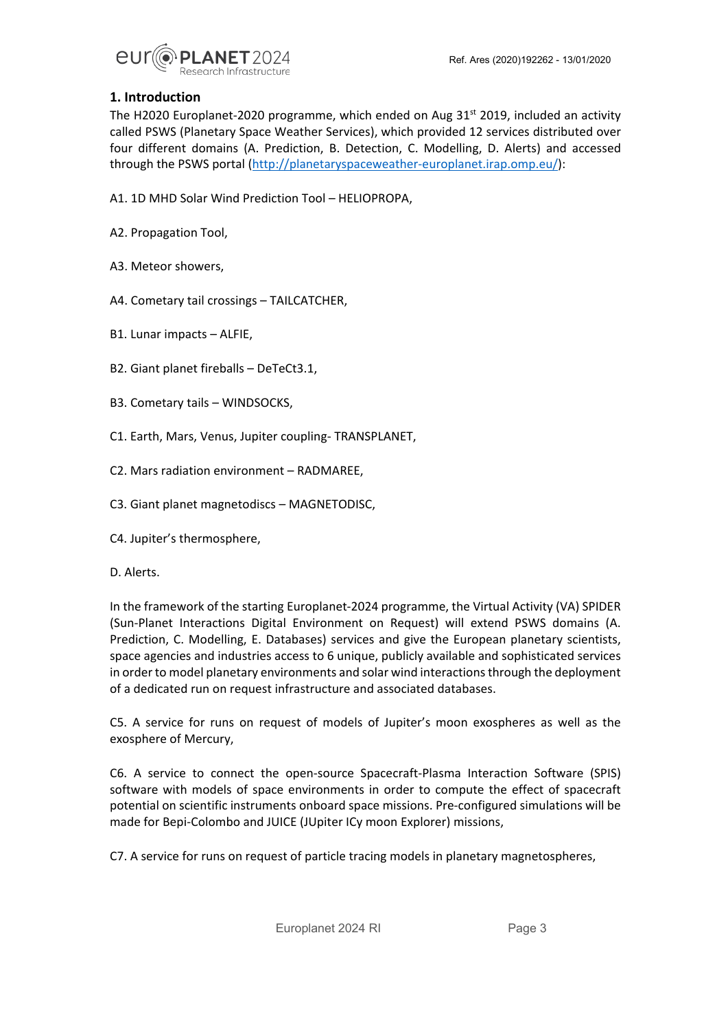Ref. Ares (2020)192262 - 13/01/2020



#### <span id="page-2-0"></span>**1. Introduction**

The H2020 Europlanet-2020 programme, which ended on Aug  $31<sup>st</sup>$  2019, included an activity called PSWS (Planetary Space Weather Services), which provided 12 services distributed over four different domains (A. Prediction, B. Detection, C. Modelling, D. Alerts) and accessed through the PSWS portal [\(http://planetaryspaceweather-europlanet.irap.omp.eu/\)](http://planetaryspaceweather-europlanet.irap.omp.eu/):

- A1. 1D MHD Solar Wind Prediction Tool HELIOPROPA,
- A2. Propagation Tool,
- A3. Meteor showers,
- A4. Cometary tail crossings TAILCATCHER,
- B1. Lunar impacts ALFIE,
- B2. Giant planet fireballs DeTeCt3.1,
- B3. Cometary tails WINDSOCKS,
- C1. Earth, Mars, Venus, Jupiter coupling- TRANSPLANET,
- C2. Mars radiation environment RADMAREE,
- C3. Giant planet magnetodiscs MAGNETODISC,
- C4. Jupiter's thermosphere,
- D. Alerts.

In the framework of the starting Europlanet-2024 programme, the Virtual Activity (VA) SPIDER (Sun-Planet Interactions Digital Environment on Request) will extend PSWS domains (A. Prediction, C. Modelling, E. Databases) services and give the European planetary scientists, space agencies and industries access to 6 unique, publicly available and sophisticated services in order to model planetary environments and solar wind interactions through the deployment of a dedicated run on request infrastructure and associated databases.

C5. A service for runs on request of models of Jupiter's moon exospheres as well as the exosphere of Mercury,

C6. A service to connect the open-source Spacecraft-Plasma Interaction Software (SPIS) software with models of space environments in order to compute the effect of spacecraft potential on scientific instruments onboard space missions. Pre-configured simulations will be made for Bepi-Colombo and JUICE (JUpiter ICy moon Explorer) missions,

C7. A service for runs on request of particle tracing models in planetary magnetospheres,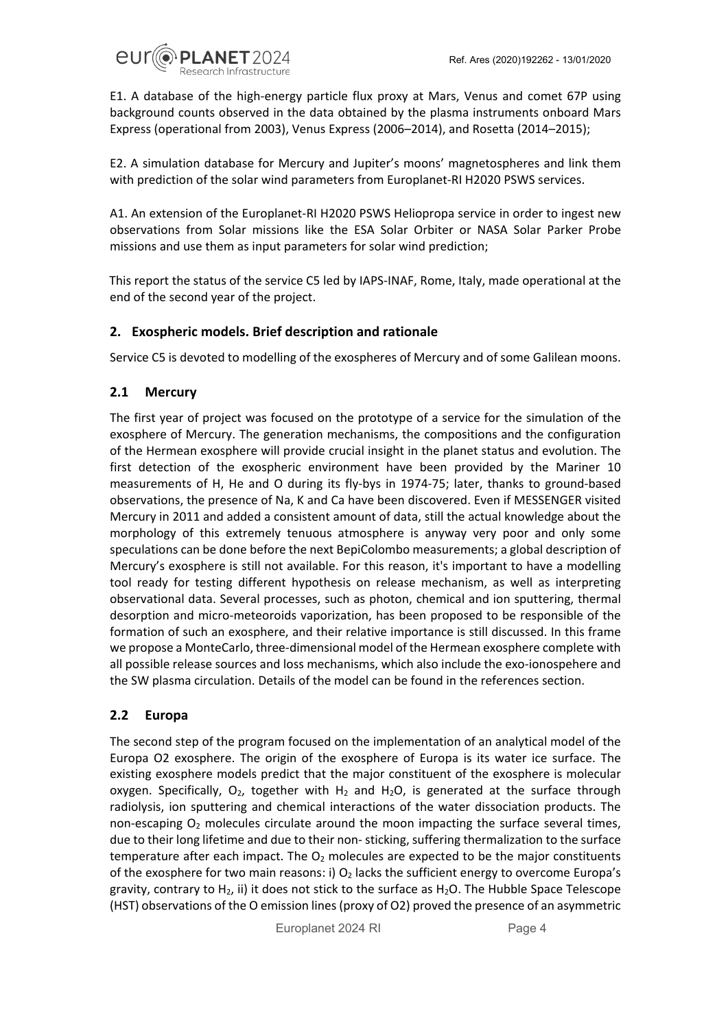

E1. A database of the high-energy particle flux proxy at Mars, Venus and comet 67P using background counts observed in the data obtained by the plasma instruments onboard Mars Express (operational from 2003), Venus Express (2006–2014), and Rosetta (2014–2015);

E2. A simulation database for Mercury and Jupiter's moons' magnetospheres and link them with prediction of the solar wind parameters from Europlanet-RI H2020 PSWS services.

A1. An extension of the Europlanet-RI H2020 PSWS Heliopropa service in order to ingest new observations from Solar missions like the ESA Solar Orbiter or NASA Solar Parker Probe missions and use them as input parameters for solar wind prediction;

This report the status of the service C5 led by IAPS-INAF, Rome, Italy, made operational at the end of the second year of the project.

#### <span id="page-3-0"></span>**2. Exospheric models. Brief description and rationale**

Service C5 is devoted to modelling of the exospheres of Mercury and of some Galilean moons.

#### <span id="page-3-1"></span>**2.1 Mercury**

The first year of project was focused on the prototype of a service for the simulation of the exosphere of Mercury. The generation mechanisms, the compositions and the configuration of the Hermean exosphere will provide crucial insight in the planet status and evolution. The first detection of the exospheric environment have been provided by the Mariner 10 measurements of H, He and O during its fly-bys in 1974-75; later, thanks to ground-based observations, the presence of Na, K and Ca have been discovered. Even if MESSENGER visited Mercury in 2011 and added a consistent amount of data, still the actual knowledge about the morphology of this extremely tenuous atmosphere is anyway very poor and only some speculations can be done before the next BepiColombo measurements; a global description of Mercury's exosphere is still not available. For this reason, it's important to have a modelling tool ready for testing different hypothesis on release mechanism, as well as interpreting observational data. Several processes, such as photon, chemical and ion sputtering, thermal desorption and micro-meteoroids vaporization, has been proposed to be responsible of the formation of such an exosphere, and their relative importance is still discussed. In this frame we propose a MonteCarlo, three-dimensional model of the Hermean exosphere complete with all possible release sources and loss mechanisms, which also include the exo-ionospehere and the SW plasma circulation. Details of the model can be found in the references section.

#### <span id="page-3-2"></span>**2.2 Europa**

The second step of the program focused on the implementation of an analytical model of the Europa O2 exosphere. The origin of the exosphere of Europa is its water ice surface. The existing exosphere models predict that the major constituent of the exosphere is molecular oxygen. Specifically,  $O_2$ , together with  $H_2$  and  $H_2O$ , is generated at the surface through radiolysis, ion sputtering and chemical interactions of the water dissociation products. The non-escaping  $O_2$  molecules circulate around the moon impacting the surface several times, due to their long lifetime and due to their non- sticking, suffering thermalization to the surface temperature after each impact. The  $O_2$  molecules are expected to be the major constituents of the exosphere for two main reasons: i)  $O_2$  lacks the sufficient energy to overcome Europa's gravity, contrary to  $H_2$ , ii) it does not stick to the surface as  $H_2O$ . The Hubble Space Telescope (HST) observations of the O emission lines (proxy of O2) proved the presence of an asymmetric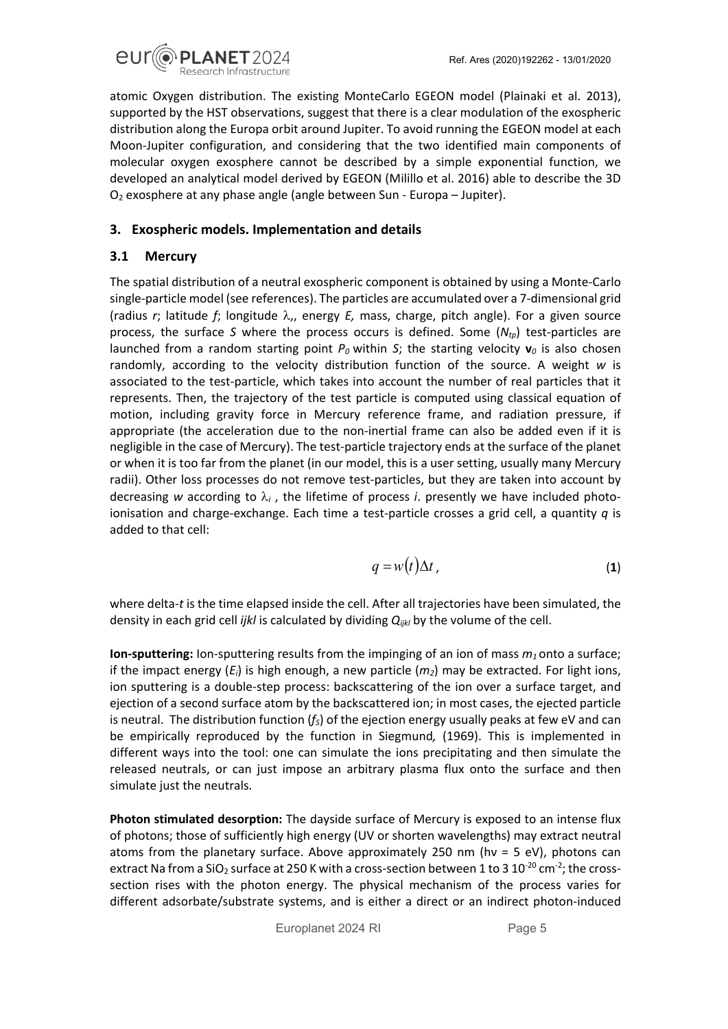

atomic Oxygen distribution. The existing MonteCarlo EGEON model (Plainaki et al. 2013), supported by the HST observations, suggest that there is a clear modulation of the exospheric distribution along the Europa orbit around Jupiter. To avoid running the EGEON model at each Moon-Jupiter configuration, and considering that the two identified main components of molecular oxygen exosphere cannot be described by a simple exponential function, we developed an analytical model derived by EGEON (Milillo et al. 2016) able to describe the 3D O2 exosphere at any phase angle (angle between Sun - Europa – Jupiter).

#### <span id="page-4-0"></span>**3. Exospheric models. Implementation and details**

#### <span id="page-4-1"></span>**3.1 Mercury**

The spatial distribution of a neutral exospheric component is obtained by using a Monte-Carlo single-particle model (see references). The particles are accumulated over a 7-dimensional grid (radius *r*; latitude *f*; longitude λ,, energy *E,* mass, charge, pitch angle). For a given source process, the surface *S* where the process occurs is defined. Some (*Ntp*) test-particles are launched from a random starting point  $P_0$  within *S*; the starting velocity  $\mathbf{v}_0$  is also chosen randomly, according to the velocity distribution function of the source. A weight *w* is associated to the test-particle, which takes into account the number of real particles that it represents. Then, the trajectory of the test particle is computed using classical equation of motion, including gravity force in Mercury reference frame, and radiation pressure, if appropriate (the acceleration due to the non-inertial frame can also be added even if it is negligible in the case of Mercury). The test-particle trajectory ends at the surface of the planet or when it is too far from the planet (in our model, this is a user setting, usually many Mercury radii). Other loss processes do not remove test-particles, but they are taken into account by decreasing *w* according to  $\lambda_i$ , the lifetime of process *i*. presently we have included photoionisation and charge-exchange. Each time a test-particle crosses a grid cell, a quantity *q* is added to that cell:

$$
q = w(t)\Delta t \tag{1}
$$

where delta-*t* is the time elapsed inside the cell. After all trajectories have been simulated, the density in each grid cell *ijkl* is calculated by dividing *Qijkl* by the volume of the cell.

**Ion-sputtering:** Ion-sputtering results from the impinging of an ion of mass  $m_1$  onto a surface; if the impact energy (*Ei*) is high enough, a new particle (*m2*) may be extracted. For light ions, ion sputtering is a double-step process: backscattering of the ion over a surface target, and ejection of a second surface atom by the backscattered ion; in most cases, the ejected particle is neutral. The distribution function  $(f<sub>S</sub>)$  of the ejection energy usually peaks at few eV and can be empirically reproduced by the function in Siegmund*,* (1969). This is implemented in different ways into the tool: one can simulate the ions precipitating and then simulate the released neutrals, or can just impose an arbitrary plasma flux onto the surface and then simulate just the neutrals.

**Photon stimulated desorption:** The dayside surface of Mercury is exposed to an intense flux of photons; those of sufficiently high energy (UV or shorten wavelengths) may extract neutral atoms from the planetary surface. Above approximately 250 nm (hν = 5 eV), photons can extract Na from a SiO<sub>2</sub> surface at 250 K with a cross-section between 1 to 3 10<sup>-20</sup> cm<sup>-2</sup>; the crosssection rises with the photon energy. The physical mechanism of the process varies for different adsorbate/substrate systems, and is either a direct or an indirect photon-induced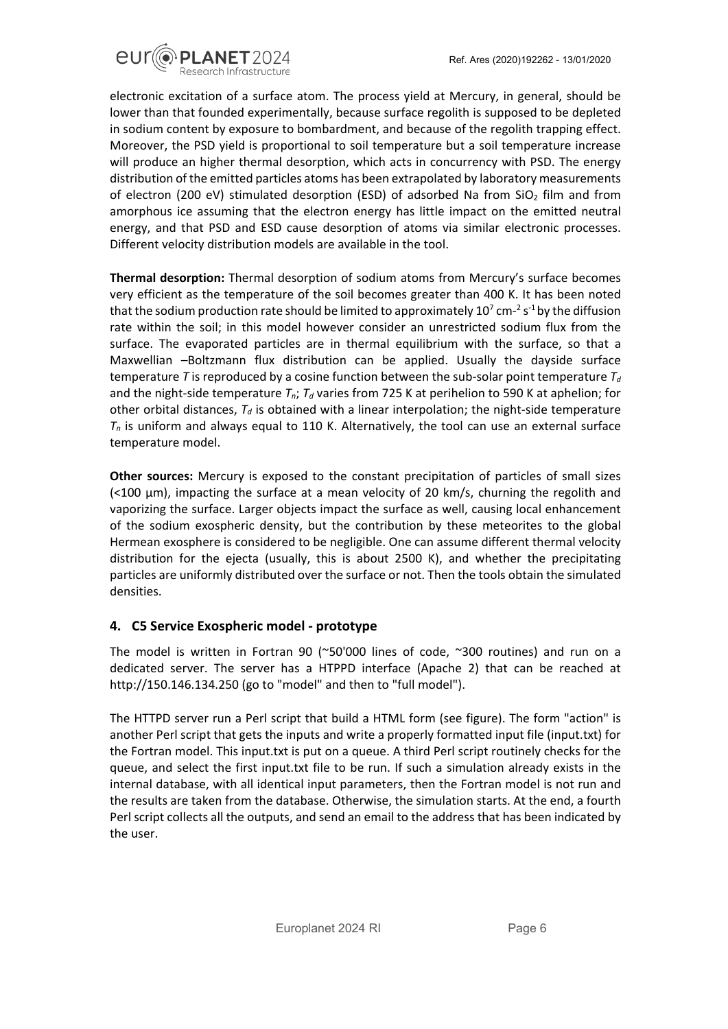

electronic excitation of a surface atom. The process yield at Mercury, in general, should be lower than that founded experimentally, because surface regolith is supposed to be depleted in sodium content by exposure to bombardment, and because of the regolith trapping effect. Moreover, the PSD yield is proportional to soil temperature but a soil temperature increase will produce an higher thermal desorption, which acts in concurrency with PSD. The energy distribution of the emitted particles atoms has been extrapolated by laboratory measurements of electron (200 eV) stimulated desorption (ESD) of adsorbed Na from  $SiO<sub>2</sub>$  film and from amorphous ice assuming that the electron energy has little impact on the emitted neutral energy, and that PSD and ESD cause desorption of atoms via similar electronic processes. Different velocity distribution models are available in the tool.

**Thermal desorption:** Thermal desorption of sodium atoms from Mercury's surface becomes very efficient as the temperature of the soil becomes greater than 400 K. It has been noted that the sodium production rate should be limited to approximately 10<sup>7</sup> cm-<sup>2</sup> s<sup>-1</sup> by the diffusion rate within the soil; in this model however consider an unrestricted sodium flux from the surface. The evaporated particles are in thermal equilibrium with the surface, so that a Maxwellian –Boltzmann flux distribution can be applied. Usually the dayside surface temperature *T* is reproduced by a cosine function between the sub-solar point temperature  $T_d$ and the night-side temperature  $T_n$ ;  $T_d$  varies from 725 K at perihelion to 590 K at aphelion; for other orbital distances,  $T_d$  is obtained with a linear interpolation; the night-side temperature  $T_n$  is uniform and always equal to 110 K. Alternatively, the tool can use an external surface temperature model.

**Other sources:** Mercury is exposed to the constant precipitation of particles of small sizes (<100 μm), impacting the surface at a mean velocity of 20 km/s, churning the regolith and vaporizing the surface. Larger objects impact the surface as well, causing local enhancement of the sodium exospheric density, but the contribution by these meteorites to the global Hermean exosphere is considered to be negligible. One can assume different thermal velocity distribution for the ejecta (usually, this is about 2500 K), and whether the precipitating particles are uniformly distributed over the surface or not. Then the tools obtain the simulated densities.

#### <span id="page-5-0"></span>**4. C5 Service Exospheric model - prototype**

The model is written in Fortran 90 (~50'000 lines of code, ~300 routines) and run on a dedicated server. The server has a HTPPD interface (Apache 2) that can be reached at http://150.146.134.250 (go to "model" and then to "full model").

The HTTPD server run a Perl script that build a HTML form (see figure). The form "action" is another Perl script that gets the inputs and write a properly formatted input file (input.txt) for the Fortran model. This input.txt is put on a queue. A third Perl script routinely checks for the queue, and select the first input.txt file to be run. If such a simulation already exists in the internal database, with all identical input parameters, then the Fortran model is not run and the results are taken from the database. Otherwise, the simulation starts. At the end, a fourth Perl script collects all the outputs, and send an email to the address that has been indicated by the user.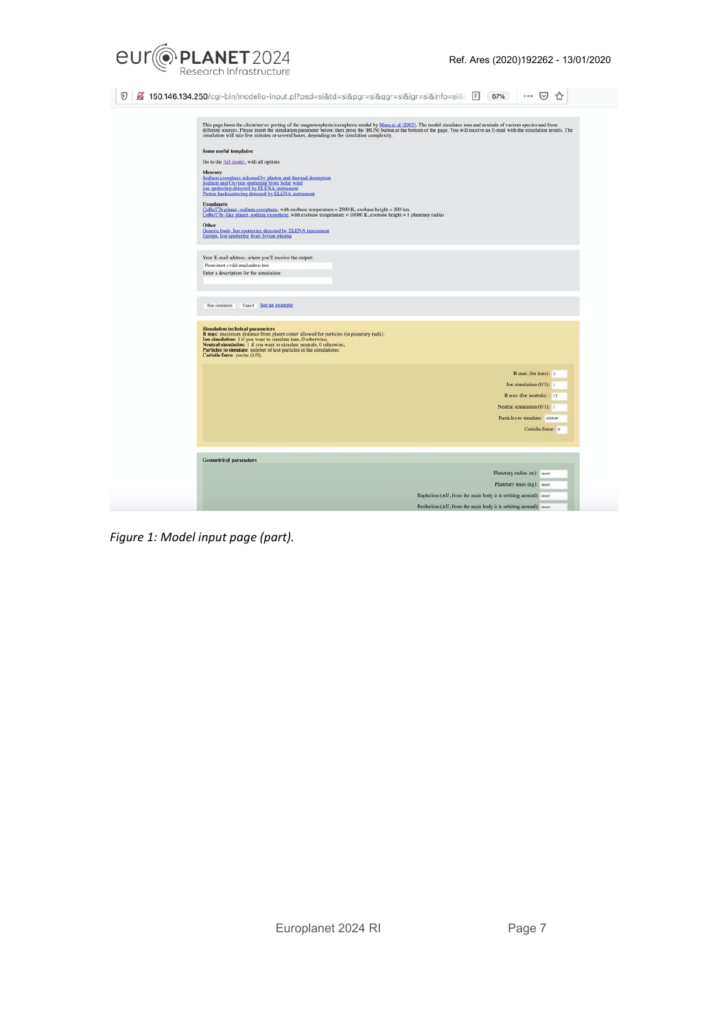

0 % 150.146.134.250/cgi-bin/modello-input.pl?psd=si&td=si&pgr=si&qgr=si&igr=si&info=si& ■ 67% … 5 ☆

| This page hosts the client/server porting of the magnetospheric/exospheric model by Mura et al [2005]. The model simulates ions and neutrals of various species and from<br>different sources. Please insert the simulation parameter below, then press the [RUN] button at the bottom of the page. You will receive an E-mail with the simulation results. The<br>simulation will take few minutes or several hours, depending on the simulation complexity. |  |
|---------------------------------------------------------------------------------------------------------------------------------------------------------------------------------------------------------------------------------------------------------------------------------------------------------------------------------------------------------------------------------------------------------------------------------------------------------------|--|
| Some useful templates:                                                                                                                                                                                                                                                                                                                                                                                                                                        |  |
| Go to the full model, with all options                                                                                                                                                                                                                                                                                                                                                                                                                        |  |
| Mercury                                                                                                                                                                                                                                                                                                                                                                                                                                                       |  |
| Sodium exosphere released by photon and thermal desorption                                                                                                                                                                                                                                                                                                                                                                                                    |  |
| Sodium and Oxygen sputtering from Solar wind<br>Ion sputtering detected by ELENA instrument<br>Proton backscattering detected by ELENA instrument                                                                                                                                                                                                                                                                                                             |  |
| <b>Exoplanets</b>                                                                                                                                                                                                                                                                                                                                                                                                                                             |  |
| CoRoT7b planet. sodium exosphere, with exobase temperature = 2500 K, exobase height = 200 km<br>CoRoT7b -like planet. sodium exosphere, with exobase temperature = 10000 K, exobase height = 1 planetary radius                                                                                                                                                                                                                                               |  |
| Other                                                                                                                                                                                                                                                                                                                                                                                                                                                         |  |
| Generic body. Ion sputtering detected by ELENA instrument<br>Europa. Ion sputtering from Jovian plasma                                                                                                                                                                                                                                                                                                                                                        |  |
|                                                                                                                                                                                                                                                                                                                                                                                                                                                               |  |
| Your E-mail address, where you'll receive the output:                                                                                                                                                                                                                                                                                                                                                                                                         |  |
| Please insert a valid email address here                                                                                                                                                                                                                                                                                                                                                                                                                      |  |
| Enter a description for the simulation:                                                                                                                                                                                                                                                                                                                                                                                                                       |  |
|                                                                                                                                                                                                                                                                                                                                                                                                                                                               |  |
|                                                                                                                                                                                                                                                                                                                                                                                                                                                               |  |
| Cancel See an example<br>Run simulation                                                                                                                                                                                                                                                                                                                                                                                                                       |  |
|                                                                                                                                                                                                                                                                                                                                                                                                                                                               |  |
| <b>Simulation technical parameters</b>                                                                                                                                                                                                                                                                                                                                                                                                                        |  |
| R max: maximum distance from planet center allowed for particles (in planetary radii);<br>Ion simulation: 1 if you want to simulate ions, 0 otherwise;                                                                                                                                                                                                                                                                                                        |  |
| Neutral simulation: 1 if you want to simulate neutrals, 0 otherwise;<br>Particles to simulate: number of test-particles in the simulations;                                                                                                                                                                                                                                                                                                                   |  |
| Coriolis force: yes/no (1/0);                                                                                                                                                                                                                                                                                                                                                                                                                                 |  |
| R max (for ions): 3                                                                                                                                                                                                                                                                                                                                                                                                                                           |  |
| Ion simulation (0/1): 1                                                                                                                                                                                                                                                                                                                                                                                                                                       |  |
| R max (for neutrals) : 12                                                                                                                                                                                                                                                                                                                                                                                                                                     |  |
| Neutral simulation (0/1): 1                                                                                                                                                                                                                                                                                                                                                                                                                                   |  |
| Particles to simulate: 100000                                                                                                                                                                                                                                                                                                                                                                                                                                 |  |
| Coriolis force: 0                                                                                                                                                                                                                                                                                                                                                                                                                                             |  |
|                                                                                                                                                                                                                                                                                                                                                                                                                                                               |  |
|                                                                                                                                                                                                                                                                                                                                                                                                                                                               |  |
| <b>Geometrical parameters</b>                                                                                                                                                                                                                                                                                                                                                                                                                                 |  |
| Planetary radius (m): insert                                                                                                                                                                                                                                                                                                                                                                                                                                  |  |
| Planetary mass (kg): insert                                                                                                                                                                                                                                                                                                                                                                                                                                   |  |
| Haphelion (AU, from the main body it is orbiting around): insert                                                                                                                                                                                                                                                                                                                                                                                              |  |
| Perihelion (AU, from the main body it is orbiting around): insert                                                                                                                                                                                                                                                                                                                                                                                             |  |
|                                                                                                                                                                                                                                                                                                                                                                                                                                                               |  |

*Figure 1: Model input page (part).*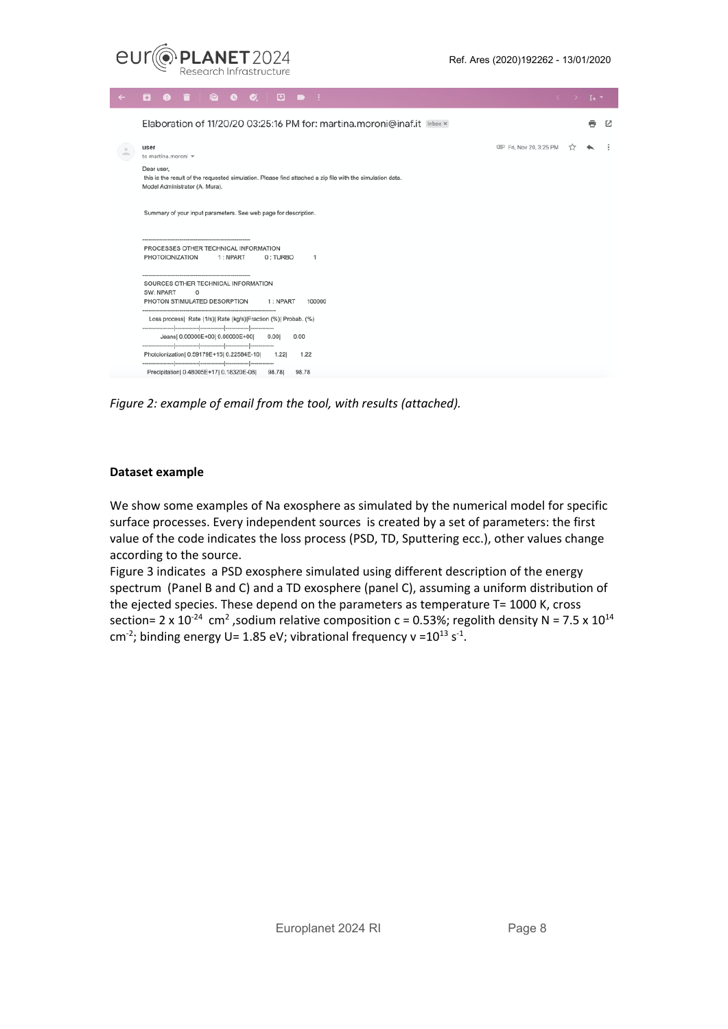

| $\leftarrow$               | $\blacksquare$<br>$\bullet$<br>o.                                                                                                                                             |                      | $\langle \cdot \rangle$ . It we |   |   |
|----------------------------|-------------------------------------------------------------------------------------------------------------------------------------------------------------------------------|----------------------|---------------------------------|---|---|
|                            | Elaboration of 11/20/20 03:25:16 PM for: martina.moroni@inaf.it Inbox x                                                                                                       |                      |                                 | e | M |
| $\stackrel{\circ}{\equiv}$ | user<br>to martina.moroni v                                                                                                                                                   | Fri, Nov 20, 3:25 PM | ŵ                               |   |   |
|                            | Dear user,<br>this is the result of the requested simulation. Please find attached a zip file with the simulation data.<br>Model Administrator (A. Mura).                     |                      |                                 |   |   |
|                            | Summary of your input parameters. See web page for description.                                                                                                               |                      |                                 |   |   |
|                            | PROCESSES OTHER TECHNICAL INFORMATION<br>PHOTOIONIZATION<br>1: NPART<br>0: TURBO<br>-1                                                                                        |                      |                                 |   |   |
|                            | SOURCES OTHER TECHNICAL INFORMATION<br>SW: NPART<br>0<br>PHOTON STIMULATED DESORPTION<br>100000<br>1: NPART                                                                   |                      |                                 |   |   |
|                            | Loss process  Rate (1/s)  Rate (kg/s) Fraction (%)  Probab. (%)<br>Jeans  0.00000E+00  0.00000E+00  0.00 <br>0.00<br>Photoionization  0.59179E+15  0.22584E-10  1.22 <br>1.22 |                      |                                 |   |   |
|                            | Precipitation   0.48005E+17   0.18320E-08   98.78  <br>98.78                                                                                                                  |                      |                                 |   |   |

*Figure 2: example of email from the tool, with results (attached).*

#### **Dataset example**

We show some examples of Na exosphere as simulated by the numerical model for specific surface processes. Every independent sources is created by a set of parameters: the first value of the code indicates the loss process (PSD, TD, Sputtering ecc.), other values change according to the source.

Figure 3 indicates a PSD exosphere simulated using different description of the energy spectrum (Panel B and C) and a TD exosphere (panel C), assuming a uniform distribution of the ejected species. These depend on the parameters as temperature T= 1000 K, cross section= 2 x 10<sup>-24</sup> cm<sup>2</sup>, sodium relative composition c = 0.53%; regolith density N = 7.5 x 10<sup>14</sup> cm<sup>-2</sup>; binding energy U= 1.85 eV; vibrational frequency v =  $10^{13}$  s<sup>-1</sup>.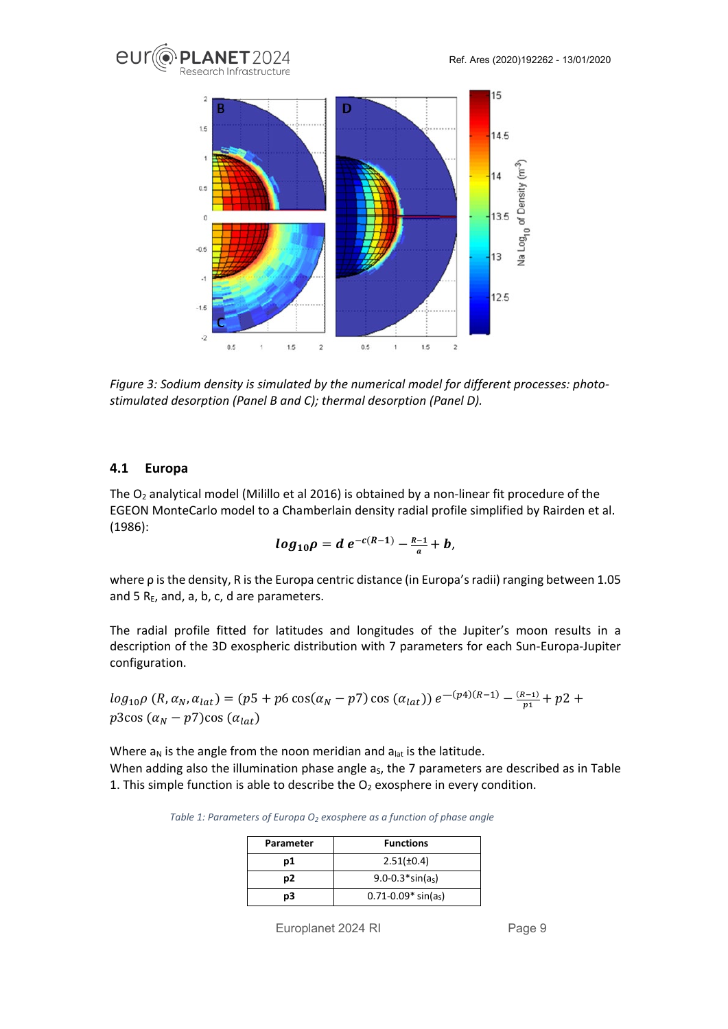



*Figure 3: Sodium density is simulated by the numerical model for different processes: photostimulated desorption (Panel B and C); thermal desorption (Panel D).* 

#### <span id="page-8-0"></span>**4.1 Europa**

The  $O_2$  analytical model (Milillo et al 2016) is obtained by a non-linear fit procedure of the EGEON MonteCarlo model to a Chamberlain density radial profile simplified by Rairden et al. (1986):

$$
log_{10}\rho = d e^{-c(R-1)} - \frac{R-1}{a} + b,
$$

where ρ is the density, R is the Europa centric distance (in Europa's radii) ranging between 1.05 and 5  $R_E$ , and, a, b, c, d are parameters.

The radial profile fitted for latitudes and longitudes of the Jupiter's moon results in a description of the 3D exospheric distribution with 7 parameters for each Sun-Europa-Jupiter configuration.

 $log_{10}\rho$  (R,  $\alpha_N$ ,  $\alpha_{lat}$ ) = (p5 + p6 cos( $\alpha_N - p$ 7) cos ( $\alpha_{lat}$ ))  $e^{-(p4)(R-1)} - \frac{(R-1)}{p_1} + p2 +$  $p3\cos{(\alpha_N-p7)}\cos{(\alpha_{lat})}$ 

Where  $a_N$  is the angle from the noon meridian and  $a_{lat}$  is the latitude. When adding also the illumination phase angle  $a<sub>s</sub>$ , the 7 parameters are described as in Table [1.](#page-8-1) This simple function is able to describe the  $O_2$  exosphere in every condition.

<span id="page-8-1"></span>*Table 1: Parameters of Europa O<sub>2</sub> exosphere as a function of phase angle* 

| <b>Parameter</b> | <b>Functions</b>         |
|------------------|--------------------------|
| p1               | $2.51(\pm 0.4)$          |
| p2               | $9.0 - 0.3$ *sin(as)     |
| pЗ               | $0.71 - 0.09* \sin(a_5)$ |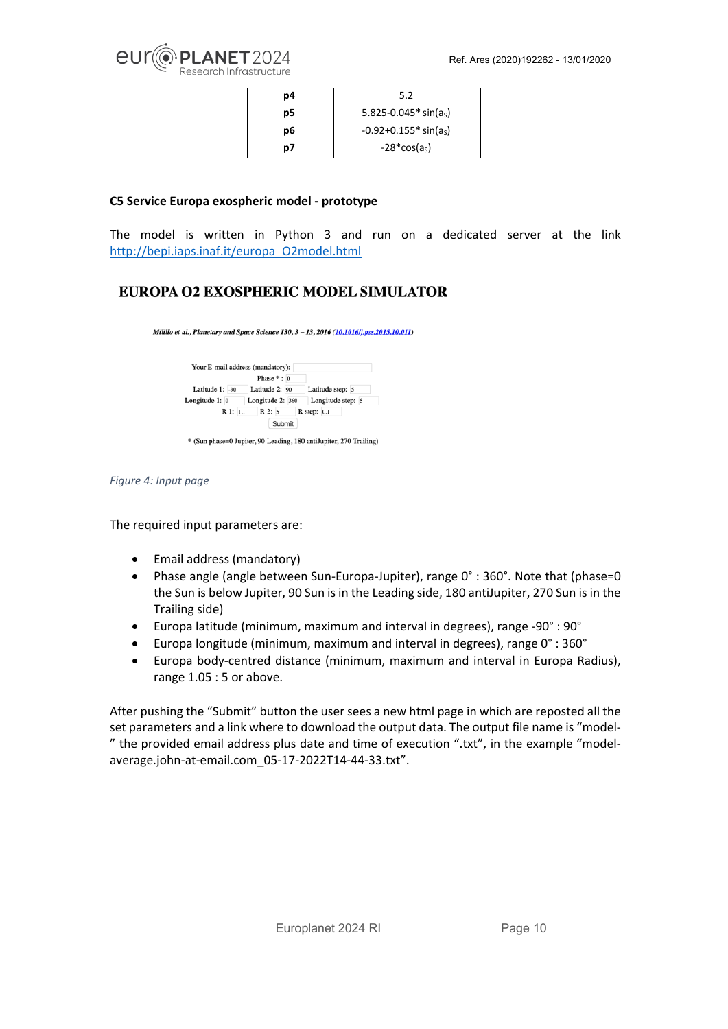

| p4 | 5.2                                    |
|----|----------------------------------------|
| p5 | 5.825-0.045 $*$ sin(a <sub>s</sub> )   |
| p6 | $-0.92 + 0.155$ * sin(a <sub>s</sub> ) |
| p7 | $-28*cos(as)$                          |

#### **C5 Service Europa exospheric model - prototype**

The model is written in Python 3 and run on a dedicated server at the link [http://bepi.iaps.inaf.it/europa\\_O2model.html](http://bepi.iaps.inaf.it/europa_O2model.html)

### EUROPA O2 EXOSPHERIC MODEL SIMULATOR

Milillo et al., Planetary and Space Science 130, 3 - 13, 2016 (10.1016/j.pss.2015.10.011)

| Phase $*: 0$     |                   |
|------------------|-------------------|
| Latitude 2: 90   | Latitude step: 5  |
| Longitude 2: 360 | Longitude step: 5 |
| R2:5<br>R1:1.1   | $R$ step: $0.1$   |
|                  |                   |

\* (Sun phase=0 Jupiter, 90 Leading, 180 antiJupiter, 270 Trailing)

*Figure 4: Input page* 

The required input parameters are:

- Email address (mandatory)
- Phase angle (angle between Sun-Europa-Jupiter), range 0° : 360°. Note that (phase=0 the Sun is below Jupiter, 90 Sun is in the Leading side, 180 antiJupiter, 270 Sun is in the Trailing side)
- Europa latitude (minimum, maximum and interval in degrees), range -90° : 90°
- Europa longitude (minimum, maximum and interval in degrees), range 0° : 360°
- Europa body-centred distance (minimum, maximum and interval in Europa Radius), range 1.05 : 5 or above.

After pushing the "Submit" button the user sees a new html page in which are reposted all the set parameters and a link where to download the output data. The output file name is "model- " the provided email address plus date and time of execution ".txt", in the example "modelaverage.john-at-email.com\_05-17-2022T14-44-33.txt".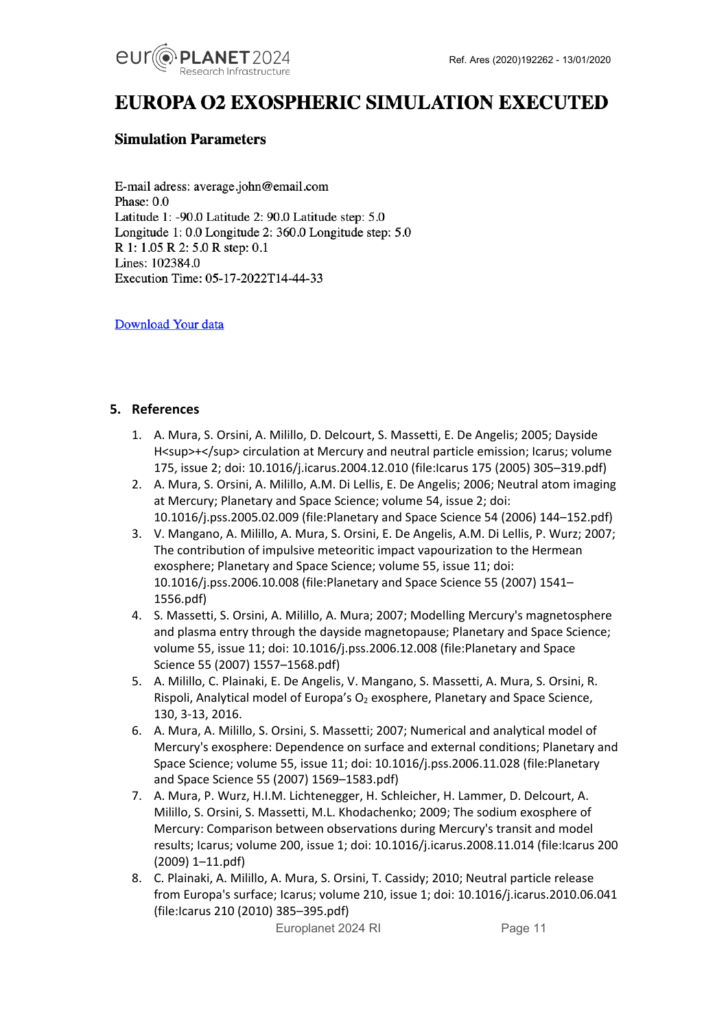

# EUROPA O2 EXOSPHERIC SIMULATION EXECUTED

#### **Simulation Parameters**

E-mail adress: average.john@email.com Phase:  $0.0$ Latitude 1: -90.0 Latitude 2: 90.0 Latitude step: 5.0 Longitude 1: 0.0 Longitude 2: 360.0 Longitude step: 5.0 R 1: 1.05 R 2: 5.0 R step: 0.1 Lines: 102384.0 Execution Time: 05-17-2022T14-44-33

Download Your data

#### <span id="page-10-0"></span>**5. References**

- 1. A. Mura, S. Orsini, A. Milillo, D. Delcourt, S. Massetti, E. De Angelis; 2005; Dayside H<sup>+</sup> circulation at Mercury and neutral particle emission; Icarus; volume 175, issue 2; doi: 10.1016/j.icarus.2004.12.010 (file:Icarus 175 (2005) 305–319.pdf)
- 2. A. Mura, S. Orsini, A. Milillo, A.M. Di Lellis, E. De Angelis; 2006; Neutral atom imaging at Mercury; Planetary and Space Science; volume 54, issue 2; doi: 10.1016/j.pss.2005.02.009 (file:Planetary and Space Science 54 (2006) 144–152.pdf)
- 3. V. Mangano, A. Milillo, A. Mura, S. Orsini, E. De Angelis, A.M. Di Lellis, P. Wurz; 2007; The contribution of impulsive meteoritic impact vapourization to the Hermean exosphere; Planetary and Space Science; volume 55, issue 11; doi: 10.1016/j.pss.2006.10.008 (file:Planetary and Space Science 55 (2007) 1541– 1556.pdf)
- 4. S. Massetti, S. Orsini, A. Milillo, A. Mura; 2007; Modelling Mercury's magnetosphere and plasma entry through the dayside magnetopause; Planetary and Space Science; volume 55, issue 11; doi: 10.1016/j.pss.2006.12.008 (file:Planetary and Space Science 55 (2007) 1557–1568.pdf)
- 5. A. Milillo, C. Plainaki, E. De Angelis, V. Mangano, S. Massetti, A. Mura, S. Orsini, R. Rispoli, Analytical model of Europa's  $O_2$  exosphere, Planetary and Space Science, 130, 3-13, 2016.
- 6. A. Mura, A. Milillo, S. Orsini, S. Massetti; 2007; Numerical and analytical model of Mercury's exosphere: Dependence on surface and external conditions; Planetary and Space Science; volume 55, issue 11; doi: 10.1016/j.pss.2006.11.028 (file:Planetary and Space Science 55 (2007) 1569–1583.pdf)
- 7. A. Mura, P. Wurz, H.I.M. Lichtenegger, H. Schleicher, H. Lammer, D. Delcourt, A. Milillo, S. Orsini, S. Massetti, M.L. Khodachenko; 2009; The sodium exosphere of Mercury: Comparison between observations during Mercury's transit and model results; Icarus; volume 200, issue 1; doi: 10.1016/j.icarus.2008.11.014 (file:Icarus 200 (2009) 1–11.pdf)
- 8. C. Plainaki, A. Milillo, A. Mura, S. Orsini, T. Cassidy; 2010; Neutral particle release from Europa's surface; Icarus; volume 210, issue 1; doi: 10.1016/j.icarus.2010.06.041 (file:Icarus 210 (2010) 385–395.pdf)